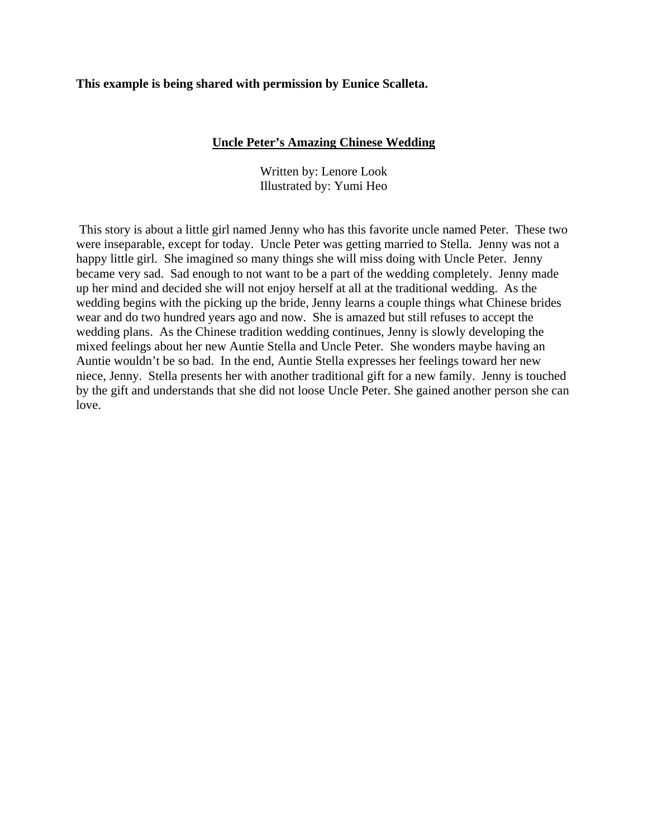# **This example is being shared with permission by Eunice Scalleta.**

# **Uncle Peter's Amazing Chinese Wedding**

Written by: Lenore Look Illustrated by: Yumi Heo

 This story is about a little girl named Jenny who has this favorite uncle named Peter. These two were inseparable, except for today. Uncle Peter was getting married to Stella. Jenny was not a happy little girl. She imagined so many things she will miss doing with Uncle Peter. Jenny became very sad. Sad enough to not want to be a part of the wedding completely. Jenny made up her mind and decided she will not enjoy herself at all at the traditional wedding. As the wedding begins with the picking up the bride, Jenny learns a couple things what Chinese brides wear and do two hundred years ago and now. She is amazed but still refuses to accept the wedding plans. As the Chinese tradition wedding continues, Jenny is slowly developing the mixed feelings about her new Auntie Stella and Uncle Peter. She wonders maybe having an Auntie wouldn't be so bad. In the end, Auntie Stella expresses her feelings toward her new niece, Jenny. Stella presents her with another traditional gift for a new family. Jenny is touched by the gift and understands that she did not loose Uncle Peter. She gained another person she can love.